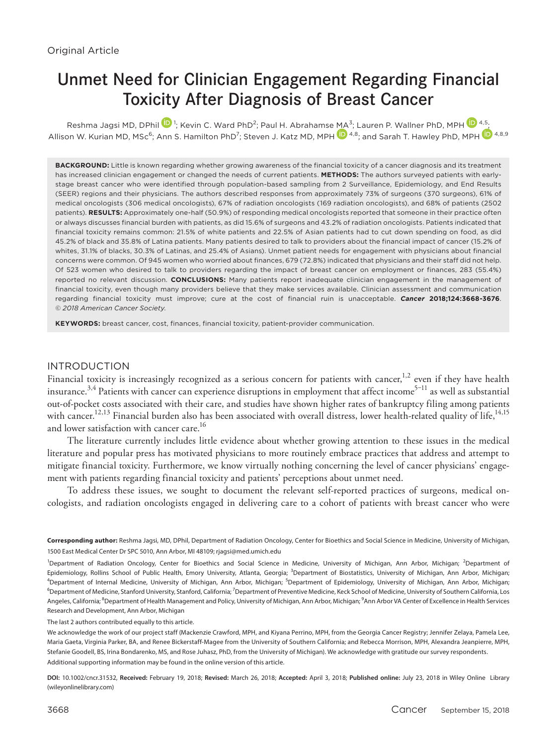# Unmet Need for Clinician Engagement Regarding Financial Toxicity After Diagnosis of Breast Cancer

Reshma Jagsi MD, DPhi[l](http://orcid.org/0000-0001-6562-1228)  $\blacksquare$  '; Kevin C. Ward PhD<sup>2</sup>; Paul H. Abrahamse [MA](http://orcid.org/0000-0002-1151-861X)<sup>3</sup>[;](http://orcid.org/0000-0001-5756-645X) Lauren P. Wallner PhD, MPH  $\blacksquare$  4.5; Allison W. Kurian MD, MSc<sup>6</sup>; Ann S. Hamilton PhD<sup>7</sup>; Steven J. Katz MD, MPH 10 4,8; and Sarah T. Hawley PhD, MPH 10 4,8,9

**BACKGROUND:** Little is known regarding whether growing awareness of the financial toxicity of a cancer diagnosis and its treatment has increased clinician engagement or changed the needs of current patients. **METHODS:** The authors surveyed patients with earlystage breast cancer who were identified through population-based sampling from 2 Surveillance, Epidemiology, and End Results (SEER) regions and their physicians. The authors described responses from approximately 73% of surgeons (370 surgeons), 61% of medical oncologists (306 medical oncologists), 67% of radiation oncologists (169 radiation oncologists), and 68% of patients (2502 patients). **RESULTS:** Approximately one-half (50.9%) of responding medical oncologists reported that someone in their practice often or always discusses financial burden with patients, as did 15.6% of surgeons and 43.2% of radiation oncologists. Patients indicated that financial toxicity remains common: 21.5% of white patients and 22.5% of Asian patients had to cut down spending on food, as did 45.2% of black and 35.8% of Latina patients. Many patients desired to talk to providers about the financial impact of cancer (15.2% of whites, 31.1% of blacks, 30.3% of Latinas, and 25.4% of Asians). Unmet patient needs for engagement with physicians about financial concerns were common. Of 945 women who worried about finances, 679 (72.8%) indicated that physicians and their staff did not help. Of 523 women who desired to talk to providers regarding the impact of breast cancer on employment or finances, 283 (55.4%) reported no relevant discussion. **CONCLUSIONS:** Many patients report inadequate clinician engagement in the management of financial toxicity, even though many providers believe that they make services available. Clinician assessment and communication regarding financial toxicity must improve; cure at the cost of financial ruin is unacceptable. *Cancer* **2018;124:3668-3676**. © *2018 American Cancer Society*.

**KEYWORDS:** breast cancer, cost, finances, financial toxicity, patient-provider communication.

## INTRODUCTION

Financial toxicity is increasingly recognized as a serious concern for patients with cancer,<sup>1,2</sup> even if they have health insurance.<sup>3,4</sup> Patients with cancer can experience disruptions in employment that affect income<sup>5-11</sup> as well as substantial out-of-pocket costs associated with their care, and studies have shown higher rates of bankruptcy filing among patients with cancer.<sup>12,13</sup> Financial burden also has been associated with overall distress, lower health-related quality of life,<sup>14,15</sup> and lower satisfaction with cancer care.<sup>16</sup>

The literature currently includes little evidence about whether growing attention to these issues in the medical literature and popular press has motivated physicians to more routinely embrace practices that address and attempt to mitigate financial toxicity. Furthermore, we know virtually nothing concerning the level of cancer physicians' engagement with patients regarding financial toxicity and patients' perceptions about unmet need.

To address these issues, we sought to document the relevant self-reported practices of surgeons, medical oncologists, and radiation oncologists engaged in delivering care to a cohort of patients with breast cancer who were

The last 2 authors contributed equally to this article.

We acknowledge the work of our project staff (Mackenzie Crawford, MPH, and Kiyana Perrino, MPH, from the Georgia Cancer Registry; Jennifer Zelaya, Pamela Lee, Maria Gaeta, Virginia Parker, BA, and Renee Bickerstaff-Magee from the University of Southern California; and Rebecca Morrison, MPH, Alexandra Jeanpierre, MPH, Stefanie Goodell, BS, Irina Bondarenko, MS, and Rose Juhasz, PhD, from the University of Michigan). We acknowledge with gratitude our survey respondents. Additional supporting information may be found in the online version of this article.

**DOI:** 10.1002/cncr.31532, **Received:** February 19, 2018; **Revised:** March 26, 2018; **Accepted:** April 3, 2018; **Published online:** July 23, 2018 in Wiley Online Library (wileyonlinelibrary.com)

**Corresponding author:** Reshma Jagsi, MD, DPhil, Department of Radiation Oncology, Center for Bioethics and Social Science in Medicine, University of Michigan, 1500 East Medical Center Dr SPC 5010, Ann Arbor, MI 48109; [rjagsi@med.umich.edu](mailto:rjagsi@med.umich.edu)

<sup>&</sup>lt;sup>1</sup>Department of Radiation Oncology, Center for Bioethics and Social Science in Medicine, University of Michigan, Ann Arbor, Michigan; <sup>2</sup>Department of Epidemiology, Rollins School of Public Health, Emory University, Atlanta, Georgia; <sup>3</sup>Department of Biostatistics, University of Michigan, Ann Arbor, Michigan;<br><sup>4</sup>Department of Internal Medicine, University of Michigan, An <sup>4</sup>Department of Internal Medicine, University of Michigan, Ann Arbor, Michigan; <sup>5</sup>Department of Epidemiology, University of Michigan, Ann Arbor, Michigan;<br><sup>6</sup>Department of Medicine Stanford University Stanford California Department of Medicine, Stanford University, Stanford, California; <sup>7</sup>Department of Preventive Medicine, Keck School of Medicine, University of Southern California, Los Angeles, California; <sup>8</sup>Department of Health Management and Policy, University of Michigan, Ann Arbor, Michigan; <sup>9</sup>Ann Arbor VA Center of Excellence in Health Services Research and Development, Ann Arbor, Michigan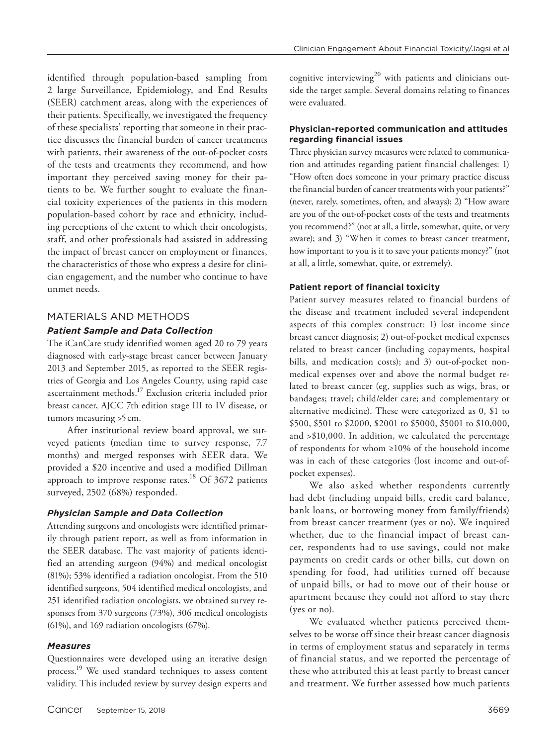identified through population-based sampling from 2 large Surveillance, Epidemiology, and End Results (SEER) catchment areas, along with the experiences of their patients. Specifically, we investigated the frequency of these specialists' reporting that someone in their practice discusses the financial burden of cancer treatments with patients, their awareness of the out-of-pocket costs of the tests and treatments they recommend, and how important they perceived saving money for their patients to be. We further sought to evaluate the financial toxicity experiences of the patients in this modern population-based cohort by race and ethnicity, including perceptions of the extent to which their oncologists, staff, and other professionals had assisted in addressing the impact of breast cancer on employment or finances, the characteristics of those who express a desire for clinician engagement, and the number who continue to have unmet needs.

# MATERIALS AND METHODS

#### *Patient Sample and Data Collection*

The iCanCare study identified women aged 20 to 79 years diagnosed with early-stage breast cancer between January 2013 and September 2015, as reported to the SEER registries of Georgia and Los Angeles County, using rapid case ascertainment methods.17 Exclusion criteria included prior breast cancer, AJCC 7th edition stage III to IV disease, or tumors measuring >5 cm.

After institutional review board approval, we surveyed patients (median time to survey response, 7.7 months) and merged responses with SEER data. We provided a \$20 incentive and used a modified Dillman approach to improve response rates.<sup>18</sup> Of 3672 patients surveyed, 2502 (68%) responded.

#### *Physician Sample and Data Collection*

Attending surgeons and oncologists were identified primarily through patient report, as well as from information in the SEER database. The vast majority of patients identified an attending surgeon (94%) and medical oncologist (81%); 53% identified a radiation oncologist. From the 510 identified surgeons, 504 identified medical oncologists, and 251 identified radiation oncologists, we obtained survey responses from 370 surgeons (73%), 306 medical oncologists (61%), and 169 radiation oncologists (67%).

#### *Measures*

Questionnaires were developed using an iterative design process.19 We used standard techniques to assess content validity. This included review by survey design experts and

cognitive interviewing<sup>20</sup> with patients and clinicians outside the target sample. Several domains relating to finances were evaluated.

#### **Physician-reported communication and attitudes regarding financial issues**

Three physician survey measures were related to communication and attitudes regarding patient financial challenges: 1) "How often does someone in your primary practice discuss the financial burden of cancer treatments with your patients?" (never, rarely, sometimes, often, and always); 2) "How aware are you of the out-of-pocket costs of the tests and treatments you recommend?" (not at all, a little, somewhat, quite, or very aware); and 3) "When it comes to breast cancer treatment, how important to you is it to save your patients money?" (not at all, a little, somewhat, quite, or extremely).

#### **Patient report of financial toxicity**

Patient survey measures related to financial burdens of the disease and treatment included several independent aspects of this complex construct: 1) lost income since breast cancer diagnosis; 2) out-of-pocket medical expenses related to breast cancer (including copayments, hospital bills, and medication costs); and 3) out-of-pocket nonmedical expenses over and above the normal budget related to breast cancer (eg, supplies such as wigs, bras, or bandages; travel; child/elder care; and complementary or alternative medicine). These were categorized as 0, \$1 to \$500, \$501 to \$2000, \$2001 to \$5000, \$5001 to \$10,000, and >\$10,000. In addition, we calculated the percentage of respondents for whom ≥10% of the household income was in each of these categories (lost income and out-ofpocket expenses).

We also asked whether respondents currently had debt (including unpaid bills, credit card balance, bank loans, or borrowing money from family/friends) from breast cancer treatment (yes or no). We inquired whether, due to the financial impact of breast cancer, respondents had to use savings, could not make payments on credit cards or other bills, cut down on spending for food, had utilities turned off because of unpaid bills, or had to move out of their house or apartment because they could not afford to stay there (yes or no).

We evaluated whether patients perceived themselves to be worse off since their breast cancer diagnosis in terms of employment status and separately in terms of financial status, and we reported the percentage of these who attributed this at least partly to breast cancer and treatment. We further assessed how much patients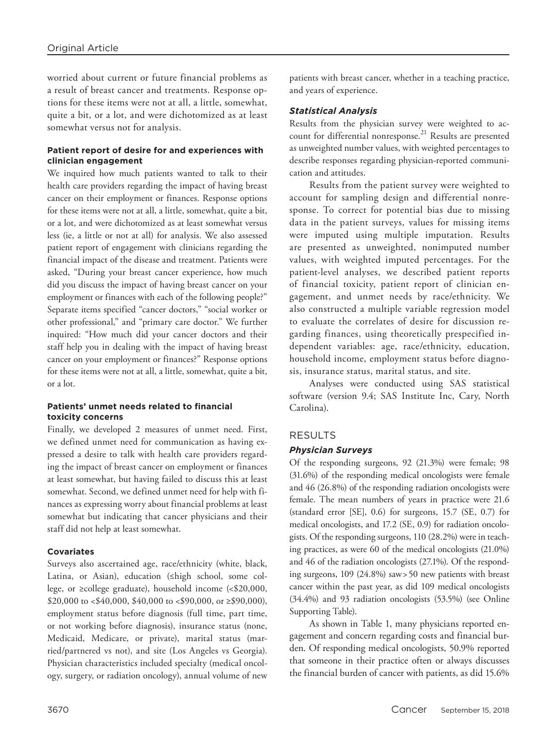worried about current or future financial problems as a result of breast cancer and treatments. Response options for these items were not at all, a little, somewhat, quite a bit, or a lot, and were dichotomized as at least somewhat versus not for analysis.

## **Patient report of desire for and experiences with clinician engagement**

We inquired how much patients wanted to talk to their health care providers regarding the impact of having breast cancer on their employment or finances. Response options for these items were not at all, a little, somewhat, quite a bit, or a lot, and were dichotomized as at least somewhat versus less (ie, a little or not at all) for analysis. We also assessed patient report of engagement with clinicians regarding the financial impact of the disease and treatment. Patients were asked, "During your breast cancer experience, how much did you discuss the impact of having breast cancer on your employment or finances with each of the following people?" Separate items specified "cancer doctors," "social worker or other professional," and "primary care doctor." We further inquired: "How much did your cancer doctors and their staff help you in dealing with the impact of having breast cancer on your employment or finances?" Response options for these items were not at all, a little, somewhat, quite a bit, or a lot.

## **Patients' unmet needs related to financial toxicity concerns**

Finally, we developed 2 measures of unmet need. First, we defined unmet need for communication as having expressed a desire to talk with health care providers regarding the impact of breast cancer on employment or finances at least somewhat, but having failed to discuss this at least somewhat. Second, we defined unmet need for help with finances as expressing worry about financial problems at least somewhat but indicating that cancer physicians and their staff did not help at least somewhat.

#### **Covariates**

Surveys also ascertained age, race/ethnicity (white, black, Latina, or Asian), education (≤high school, some college, or ≥college graduate), household income (<\$20,000, \$20,000 to <\$40,000, \$40,000 to <\$90,000, or  $\geq$ \$90,000), employment status before diagnosis (full time, part time, or not working before diagnosis), insurance status (none, Medicaid, Medicare, or private), marital status (married/partnered vs not), and site (Los Angeles vs Georgia). Physician characteristics included specialty (medical oncology, surgery, or radiation oncology), annual volume of new patients with breast cancer, whether in a teaching practice, and years of experience.

# *Statistical Analysis*

Results from the physician survey were weighted to account for differential nonresponse.<sup>21</sup> Results are presented as unweighted number values, with weighted percentages to describe responses regarding physician-reported communication and attitudes.

Results from the patient survey were weighted to account for sampling design and differential nonresponse. To correct for potential bias due to missing data in the patient surveys, values for missing items were imputed using multiple imputation. Results are presented as unweighted, nonimputed number values, with weighted imputed percentages. For the patient-level analyses, we described patient reports of financial toxicity, patient report of clinician engagement, and unmet needs by race/ethnicity. We also constructed a multiple variable regression model to evaluate the correlates of desire for discussion regarding finances, using theoretically prespecified independent variables: age, race/ethnicity, education, household income, employment status before diagnosis, insurance status, marital status, and site.

Analyses were conducted using SAS statistical software (version 9.4; SAS Institute Inc, Cary, North Carolina).

# RESULTS

# *Physician Surveys*

Of the responding surgeons, 92 (21.3%) were female; 98 (31.6%) of the responding medical oncologists were female and 46 (26.8%) of the responding radiation oncologists were female. The mean numbers of years in practice were 21.6 (standard error [SE], 0.6) for surgeons, 15.7 (SE, 0.7) for medical oncologists, and 17.2 (SE, 0.9) for radiation oncologists. Of the responding surgeons, 110 (28.2%) were in teaching practices, as were 60 of the medical oncologists (21.0%) and 46 of the radiation oncologists (27.1%). Of the responding surgeons, 109 (24.8%) saw>50 new patients with breast cancer within the past year, as did 109 medical oncologists (34.4%) and 93 radiation oncologists (53.5%) (see Online Supporting Table).

As shown in Table 1, many physicians reported engagement and concern regarding costs and financial burden. Of responding medical oncologists, 50.9% reported that someone in their practice often or always discusses the financial burden of cancer with patients, as did 15.6%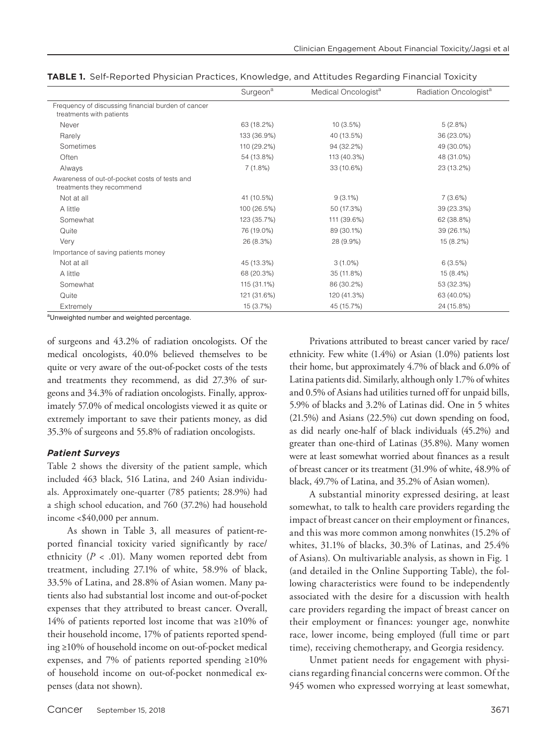|                                                                                | Surgeon <sup>a</sup> | Medical Oncologist <sup>a</sup> | Radiation Oncologist <sup>a</sup> |
|--------------------------------------------------------------------------------|----------------------|---------------------------------|-----------------------------------|
| Frequency of discussing financial burden of cancer<br>treatments with patients |                      |                                 |                                   |
| Never                                                                          | 63 (18.2%)           | 10(3.5%)                        | 5(2.8%)                           |
| Rarely                                                                         | 133 (36.9%)          | 40 (13.5%)                      | 36 (23.0%)                        |
| Sometimes                                                                      | 110 (29.2%)          | 94 (32.2%)                      | 49 (30.0%)                        |
| Often                                                                          | 54 (13.8%)           | 113 (40.3%)                     | 48 (31.0%)                        |
| Always                                                                         | 7(1.8%)              | 33 (10.6%)                      | 23 (13.2%)                        |
| Awareness of out-of-pocket costs of tests and<br>treatments they recommend     |                      |                                 |                                   |
| Not at all                                                                     | 41 (10.5%)           | $9(3.1\%)$                      | 7(3.6%)                           |
| A little                                                                       | 100 (26.5%)          | 50 (17.3%)                      | 39 (23.3%)                        |
| Somewhat                                                                       | 123 (35.7%)          | 111 (39.6%)                     | 62 (38.8%)                        |
| Quite                                                                          | 76 (19.0%)           | 89 (30.1%)                      | 39 (26.1%)                        |
| Very                                                                           | 26 (8.3%)            | 28 (9.9%)                       | 15 (8.2%)                         |
| Importance of saving patients money                                            |                      |                                 |                                   |
| Not at all                                                                     | 45 (13.3%)           | $3(1.0\%)$                      | 6(3.5%)                           |
| A little                                                                       | 68 (20.3%)           | 35 (11.8%)                      | 15 (8.4%)                         |
| Somewhat                                                                       | 115 (31.1%)          | 86 (30.2%)                      | 53 (32.3%)                        |
| Quite                                                                          | 121 (31.6%)          | 120 (41.3%)                     | 63 (40.0%)                        |
| Extremely                                                                      | 15 (3.7%)            | 45 (15.7%)                      | 24 (15.8%)                        |

| TABLE 1. Self-Reported Physician Practices, Knowledge, and Attitudes Regarding Financial Toxicity |  |
|---------------------------------------------------------------------------------------------------|--|
|---------------------------------------------------------------------------------------------------|--|

<sup>a</sup>Unweighted number and weighted percentage.

of surgeons and 43.2% of radiation oncologists. Of the medical oncologists, 40.0% believed themselves to be quite or very aware of the out-of-pocket costs of the tests and treatments they recommend, as did 27.3% of surgeons and 34.3% of radiation oncologists. Finally, approximately 57.0% of medical oncologists viewed it as quite or extremely important to save their patients money, as did 35.3% of surgeons and 55.8% of radiation oncologists.

# *Patient Surveys*

Table 2 shows the diversity of the patient sample, which included 463 black, 516 Latina, and 240 Asian individuals. Approximately one-quarter (785 patients; 28.9%) had a ≤high school education, and 760 (37.2%) had household income <\$40,000 per annum.

As shown in Table 3, all measures of patient-reported financial toxicity varied significantly by race/ ethnicity ( $P < .01$ ). Many women reported debt from treatment, including 27.1% of white, 58.9% of black, 33.5% of Latina, and 28.8% of Asian women. Many patients also had substantial lost income and out-of-pocket expenses that they attributed to breast cancer. Overall, 14% of patients reported lost income that was ≥10% of their household income, 17% of patients reported spending ≥10% of household income on out-of-pocket medical expenses, and 7% of patients reported spending ≥10% of household income on out-of-pocket nonmedical expenses (data not shown).

Privations attributed to breast cancer varied by race/ ethnicity. Few white (1.4%) or Asian (1.0%) patients lost their home, but approximately 4.7% of black and 6.0% of Latina patients did. Similarly, although only 1.7% of whites and 0.5% of Asians had utilities turned off for unpaid bills, 5.9% of blacks and 3.2% of Latinas did. One in 5 whites (21.5%) and Asians (22.5%) cut down spending on food, as did nearly one-half of black individuals (45.2%) and greater than one-third of Latinas (35.8%). Many women were at least somewhat worried about finances as a result of breast cancer or its treatment (31.9% of white, 48.9% of black, 49.7% of Latina, and 35.2% of Asian women).

A substantial minority expressed desiring, at least somewhat, to talk to health care providers regarding the impact of breast cancer on their employment or finances, and this was more common among nonwhites (15.2% of whites, 31.1% of blacks, 30.3% of Latinas, and 25.4% of Asians). On multivariable analysis, as shown in Fig. 1 (and detailed in the Online Supporting Table), the following characteristics were found to be independently associated with the desire for a discussion with health care providers regarding the impact of breast cancer on their employment or finances: younger age, nonwhite race, lower income, being employed (full time or part time), receiving chemotherapy, and Georgia residency.

Unmet patient needs for engagement with physicians regarding financial concerns were common. Of the 945 women who expressed worrying at least somewhat,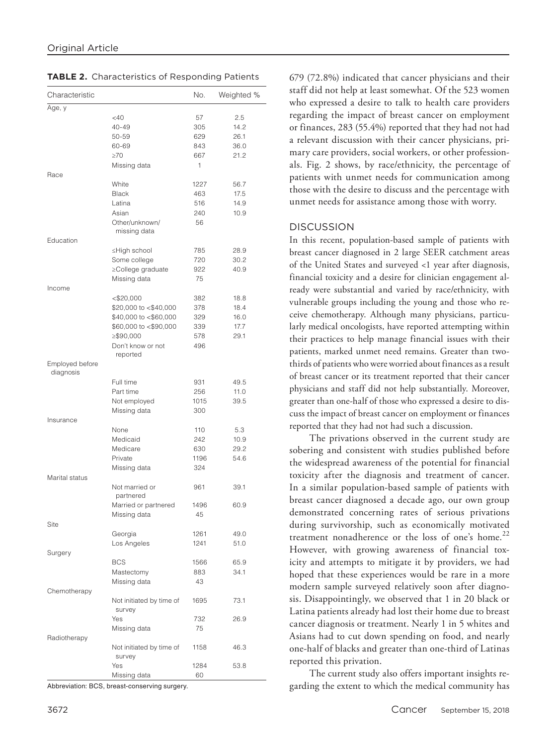| Characteristic  |                             | No.  | Weighted % |
|-----------------|-----------------------------|------|------------|
| Age, y          |                             |      |            |
|                 | <40                         | 57   | 2.5        |
|                 | $40 - 49$                   | 305  | 14.2       |
|                 | 50-59                       | 629  | 26.1       |
|                 | 60-69                       | 843  | 36.0       |
|                 | $\geq 70$                   | 667  | 21.2       |
|                 | Missing data                | 1    |            |
| Race            |                             |      |            |
|                 | White                       | 1227 | 56.7       |
|                 | <b>Black</b>                | 463  | 17.5       |
|                 | Latina                      | 516  | 14.9       |
|                 | Asian                       | 240  | 10.9       |
|                 | Other/unknown/              | 56   |            |
|                 | missing data                |      |            |
| Education       |                             |      |            |
|                 | ≤High school                | 785  | 28.9       |
|                 | Some college                | 720  | 30.2       |
|                 | ≥College graduate           | 922  | 40.9       |
|                 | Missing data                | 75   |            |
| Income          |                             |      |            |
|                 | $<$ \$20,000                | 382  | 18.8       |
|                 | \$20,000 to <\$40,000       | 378  | 18.4       |
|                 | \$40,000 to <\$60,000       | 329  | 16.0       |
|                 | \$60,000 to <\$90,000       | 339  | 17.7       |
|                 | ≥\$90,000                   | 578  | 29.1       |
|                 | Don't know or not           | 496  |            |
|                 | reported                    |      |            |
| Employed before |                             |      |            |
| diagnosis       |                             |      |            |
|                 | Full time                   | 931  | 49.5       |
|                 | Part time                   | 256  | 11.0       |
|                 | Not employed                | 1015 | 39.5       |
|                 | Missing data                | 300  |            |
| Insurance       |                             |      |            |
|                 | None                        | 110  | 5.3        |
|                 | Medicaid                    | 242  | 10.9       |
|                 | Medicare                    | 630  |            |
|                 |                             |      | 29.2       |
|                 | Private                     | 1196 | 54.6       |
|                 | Missing data                | 324  |            |
| Marital status  |                             |      |            |
|                 | Not married or<br>partnered | 961  | 39.1       |
|                 |                             |      |            |
|                 | Married or partnered        | 1496 | 60.9       |
|                 | Missing data                | 45   |            |
| Site            |                             |      |            |
|                 | Georgia                     | 1261 | 49.0       |
|                 | Los Angeles                 | 1241 | 51.0       |
| Surgery         |                             |      |            |
|                 | <b>BCS</b>                  | 1566 | 65.9       |
|                 | Mastectomy                  | 883  | 34.1       |
|                 | Missing data                | 43   |            |
| Chemotherapy    |                             |      |            |
|                 | Not initiated by time of    | 1695 | 73.1       |
|                 | survey                      |      |            |
|                 | Yes                         | 732  | 26.9       |
|                 | Missing data                | 75   |            |
| Radiotherapy    |                             |      |            |
|                 | Not initiated by time of    | 1158 | 46.3       |
|                 | survey                      |      |            |
|                 | Yes                         | 1284 | 53.8       |
|                 | Missing data                | 60   |            |

Abbreviation: BCS, breast-conserving surgery.

679 (72.8%) indicated that cancer physicians and their staff did not help at least somewhat. Of the 523 women who expressed a desire to talk to health care providers regarding the impact of breast cancer on employment or finances, 283 (55.4%) reported that they had not had a relevant discussion with their cancer physicians, primary care providers, social workers, or other professionals. Fig. 2 shows, by race/ethnicity, the percentage of patients with unmet needs for communication among those with the desire to discuss and the percentage with unmet needs for assistance among those with worry.

# **DISCUSSION**

In this recent, population-based sample of patients with breast cancer diagnosed in 2 large SEER catchment areas of the United States and surveyed <1 year after diagnosis, financial toxicity and a desire for clinician engagement already were substantial and varied by race/ethnicity, with vulnerable groups including the young and those who receive chemotherapy. Although many physicians, particularly medical oncologists, have reported attempting within their practices to help manage financial issues with their patients, marked unmet need remains. Greater than twothirds of patients who were worried about finances as a result of breast cancer or its treatment reported that their cancer physicians and staff did not help substantially. Moreover, greater than one-half of those who expressed a desire to discuss the impact of breast cancer on employment or finances reported that they had not had such a discussion.

The privations observed in the current study are sobering and consistent with studies published before the widespread awareness of the potential for financial toxicity after the diagnosis and treatment of cancer. In a similar population-based sample of patients with breast cancer diagnosed a decade ago, our own group demonstrated concerning rates of serious privations during survivorship, such as economically motivated treatment nonadherence or the loss of one's home.<sup>22</sup> However, with growing awareness of financial toxicity and attempts to mitigate it by providers, we had hoped that these experiences would be rare in a more modern sample surveyed relatively soon after diagnosis. Disappointingly, we observed that 1 in 20 black or Latina patients already had lost their home due to breast cancer diagnosis or treatment. Nearly 1 in 5 whites and Asians had to cut down spending on food, and nearly one-half of blacks and greater than one-third of Latinas reported this privation.

The current study also offers important insights regarding the extent to which the medical community has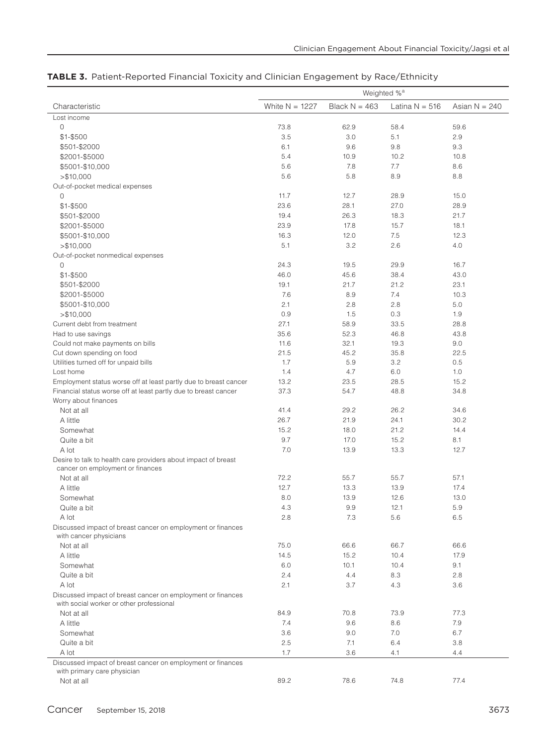|                                                                                            | Weighted % <sup>a</sup> |                 |                  |                 |
|--------------------------------------------------------------------------------------------|-------------------------|-----------------|------------------|-----------------|
| Characteristic                                                                             | White $N = 1227$        | Black $N = 463$ | Latina $N = 516$ | Asian $N = 240$ |
| Lost income                                                                                |                         |                 |                  |                 |
| $\mathsf{O}\xspace$                                                                        | 73.8                    | 62.9            | 58.4             | 59.6            |
| $$1 - $500$                                                                                | 3.5                     | 3.0             | 5.1              | 2.9             |
| \$501-\$2000                                                                               | 6.1                     | 9.6             | 9.8              | 9.3             |
| \$2001-\$5000                                                                              | 5.4                     | 10.9            | 10.2             | 10.8            |
| \$5001-\$10,000                                                                            | 5.6                     | 7.8             | 7.7              | 8.6             |
| > \$10,000                                                                                 | 5.6                     | 5.8             | 8.9              | 8.8             |
| Out-of-pocket medical expenses                                                             |                         |                 |                  |                 |
| 0                                                                                          | 11.7                    | 12.7            | 28.9             | 15.0            |
| $$1 - $500$                                                                                | 23.6                    | 28.1            | 27.0             | 28.9            |
| \$501-\$2000                                                                               | 19.4                    | 26.3            | 18.3             | 21.7            |
| \$2001-\$5000                                                                              | 23.9                    | 17.8            | 15.7             | 18.1            |
| \$5001-\$10,000                                                                            | 16.3                    | 12.0            | 7.5              | 12.3            |
| > \$10,000                                                                                 | 5.1                     | 3.2             | 2.6              | 4.0             |
| Out-of-pocket nonmedical expenses                                                          |                         |                 |                  |                 |
| 0                                                                                          | 24.3                    | 19.5            | 29.9             | 16.7            |
| \$1-\$500                                                                                  | 46.0                    | 45.6            | 38.4             | 43.0            |
| \$501-\$2000                                                                               | 19.1                    | 21.7            | 21.2             | 23.1            |
| \$2001-\$5000                                                                              | 7.6                     | 8.9             | 7.4              | 10.3            |
| \$5001-\$10,000                                                                            | 2.1                     | 2.8             | 2.8              | 5.0             |
| > \$10,000                                                                                 | 0.9                     | 1.5             | 0.3              | 1.9             |
| Current debt from treatment                                                                | 27.1                    | 58.9            | 33.5             | 28.8            |
| Had to use savings                                                                         | 35.6                    | 52.3            | 46.8             | 43.8            |
| Could not make payments on bills                                                           | 11.6                    | 32.1            | 19.3             | 9.0             |
| Cut down spending on food                                                                  | 21.5                    | 45.2            | 35.8             | 22.5            |
| Utilities turned off for unpaid bills                                                      | 1.7                     | 5.9             | 3.2              | 0.5             |
| Lost home                                                                                  | 1.4                     | 4.7             | 6.0              | 1.0             |
| Employment status worse off at least partly due to breast cancer                           | 13.2                    | 23.5            | 28.5             | 15.2            |
| Financial status worse off at least partly due to breast cancer                            | 37.3                    | 54.7            | 48.8             | 34.8            |
| Worry about finances                                                                       |                         |                 |                  |                 |
| Not at all                                                                                 | 41.4                    | 29.2            | 26.2             | 34.6            |
| A little                                                                                   | 26.7                    | 21.9            | 24.1             | 30.2            |
| Somewhat                                                                                   | 15.2                    | 18.0            | 21.2             | 14.4            |
| Quite a bit                                                                                | 9.7                     | 17.0            | 15.2             | 8.1             |
| A lot                                                                                      | 7.0                     | 13.9            | 13.3             | 12.7            |
| Desire to talk to health care providers about impact of breast                             |                         |                 |                  |                 |
| cancer on employment or finances                                                           |                         |                 |                  |                 |
| Not at all                                                                                 | 72.2                    | 55.7            | 55.7             | 57.1            |
| A little                                                                                   | 12.7                    | 13.3            | 13.9             | 17.4            |
| Somewhat                                                                                   | 8.0                     | 13.9            | 12.6             | 13.0            |
| Quite a bit                                                                                | 4.3                     | 9.9             | 12.1             | $5.9\,$         |
| A lot                                                                                      | 2.8                     | 7.3             | 5.6              | 6.5             |
| Discussed impact of breast cancer on employment or finances                                |                         |                 |                  |                 |
| with cancer physicians                                                                     |                         |                 |                  |                 |
| Not at all                                                                                 | 75.0                    | 66.6            | 66.7             | 66.6            |
| A little                                                                                   | 14.5                    | 15.2            | 10.4             | 17.9            |
| Somewhat                                                                                   | 6.0                     | 10.1            | 10.4             | 9.1             |
| Quite a bit                                                                                | 2.4                     | 4.4             | 8.3              | 2.8             |
| A lot                                                                                      | 2.1                     | 3.7             | 4.3              | 3.6             |
| Discussed impact of breast cancer on employment or finances                                |                         |                 |                  |                 |
| with social worker or other professional                                                   |                         |                 |                  |                 |
| Not at all                                                                                 | 84.9                    | 70.8            | 73.9             | 77.3            |
| A little                                                                                   | 7.4                     | 9.6             | 8.6              | 7.9             |
| Somewhat                                                                                   | 3.6                     | 9.0             | 7.0              | 6.7             |
| Quite a bit                                                                                | 2.5                     | 7.1             | 6.4              | 3.8             |
| A lot                                                                                      | 1.7                     | 3.6             | 4.1              | 4.4             |
| Discussed impact of breast cancer on employment or finances<br>with primary care physician |                         |                 |                  |                 |
| Not at all                                                                                 | 89.2                    | 78.6            | 74.8             | 77.4            |

# **TABLE 3.** Patient-Reported Financial Toxicity and Clinician Engagement by Race/Ethnicity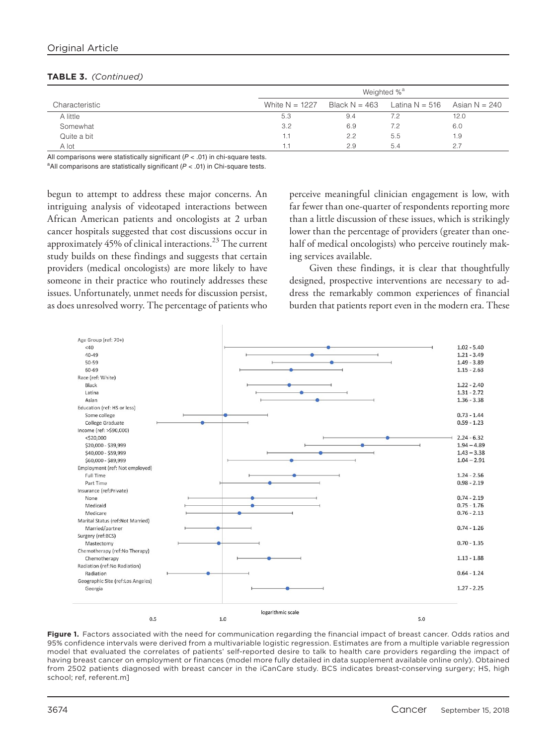# Original Article

|                |                  | Weighted % <sup>a</sup> |                                  |               |  |
|----------------|------------------|-------------------------|----------------------------------|---------------|--|
| Characteristic | White $N = 1227$ |                         | Black $N = 463$ Latina $N = 516$ | Asian N = 240 |  |
| A little       | 5.3              | 9.4                     | 7.2                              | 12.0          |  |
| Somewhat       | 3.2              | 6.9                     | 7.2                              | 6.0           |  |
| Quite a bit    |                  | 2.2                     | 5.5                              | 1.9           |  |
| A lot          |                  | 2.9                     | 5.4                              | 2.7           |  |

#### **TABLE 3.** *(Continued)*

All comparisons were statistically significant  $(P < .01)$  in chi-square tests. a All comparisons are statistically significant ( $P < .01$ ) in Chi-square tests.

begun to attempt to address these major concerns. An intriguing analysis of videotaped interactions between African American patients and oncologists at 2 urban cancer hospitals suggested that cost discussions occur in approximately 45% of clinical interactions.<sup>23</sup> The current study builds on these findings and suggests that certain providers (medical oncologists) are more likely to have someone in their practice who routinely addresses these issues. Unfortunately, unmet needs for discussion persist, as does unresolved worry. The percentage of patients who

perceive meaningful clinician engagement is low, with far fewer than one-quarter of respondents reporting more than a little discussion of these issues, which is strikingly lower than the percentage of providers (greater than onehalf of medical oncologists) who perceive routinely making services available.

Given these findings, it is clear that thoughtfully designed, prospective interventions are necessary to address the remarkably common experiences of financial burden that patients report even in the modern era. These



**Figure 1.** Factors associated with the need for communication regarding the financial impact of breast cancer. Odds ratios and 95% confidence intervals were derived from a multivariable logistic regression. Estimates are from a multiple variable regression model that evaluated the correlates of patients' self-reported desire to talk to health care providers regarding the impact of having breast cancer on employment or finances (model more fully detailed in data supplement available online only). Obtained from 2502 patients diagnosed with breast cancer in the iCanCare study. BCS indicates breast-conserving surgery; HS, high school; ref, referent.[m\]](www.wileyonlinelibrary.com)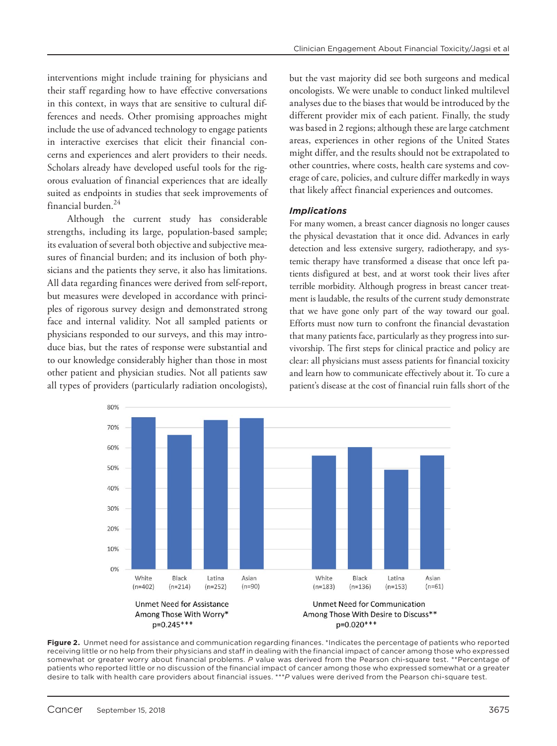interventions might include training for physicians and their staff regarding how to have effective conversations in this context, in ways that are sensitive to cultural differences and needs. Other promising approaches might include the use of advanced technology to engage patients in interactive exercises that elicit their financial concerns and experiences and alert providers to their needs. Scholars already have developed useful tools for the rigorous evaluation of financial experiences that are ideally suited as endpoints in studies that seek improvements of financial burden.<sup>24</sup>

Although the current study has considerable strengths, including its large, population-based sample; its evaluation of several both objective and subjective measures of financial burden; and its inclusion of both physicians and the patients they serve, it also has limitations. All data regarding finances were derived from self-report, but measures were developed in accordance with principles of rigorous survey design and demonstrated strong face and internal validity. Not all sampled patients or physicians responded to our surveys, and this may introduce bias, but the rates of response were substantial and to our knowledge considerably higher than those in most other patient and physician studies. Not all patients saw all types of providers (particularly radiation oncologists),

but the vast majority did see both surgeons and medical oncologists. We were unable to conduct linked multilevel analyses due to the biases that would be introduced by the different provider mix of each patient. Finally, the study was based in 2 regions; although these are large catchment areas, experiences in other regions of the United States might differ, and the results should not be extrapolated to other countries, where costs, health care systems and coverage of care, policies, and culture differ markedly in ways that likely affect financial experiences and outcomes.

# *Implications*

For many women, a breast cancer diagnosis no longer causes the physical devastation that it once did. Advances in early detection and less extensive surgery, radiotherapy, and systemic therapy have transformed a disease that once left patients disfigured at best, and at worst took their lives after terrible morbidity. Although progress in breast cancer treatment is laudable, the results of the current study demonstrate that we have gone only part of the way toward our goal. Efforts must now turn to confront the financial devastation that many patients face, particularly as they progress into survivorship. The first steps for clinical practice and policy are clear: all physicians must assess patients for financial toxicity and learn how to communicate effectively about it. To cure a patient's disease at the cost of financial ruin falls short of the



**Figure 2.** Unmet need for assistance and communication regarding finances. \*Indicates the percentage of patients who reported receiving little or no help from their physicians and staff in dealing with the financial impact of cancer among those who expressed somewhat or greater worry about financial problems. *P* value was derived from the Pearson chi-square test. \*\*Percentage of patients who reported little or no discussion of the financial impact of cancer among those who expressed somewhat or a greater desire to talk with health care providers about financial issues. \*\*\**P* values were derived from the Pearson chi-square test.